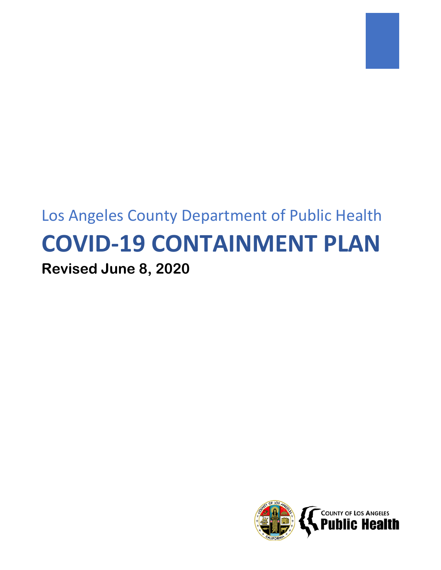# Los Angeles County Department of Public Health **COVID-19 CONTAINMENT PLAN Revised June 8, 2020**

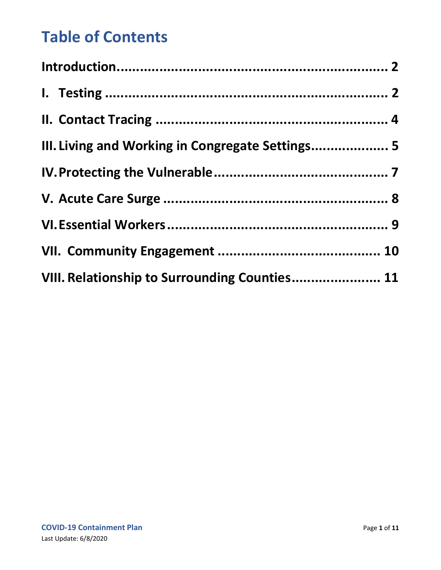## **Table of Contents**

| III. Living and Working in Congregate Settings 5 |  |
|--------------------------------------------------|--|
|                                                  |  |
|                                                  |  |
|                                                  |  |
|                                                  |  |
| VIII. Relationship to Surrounding Counties 11    |  |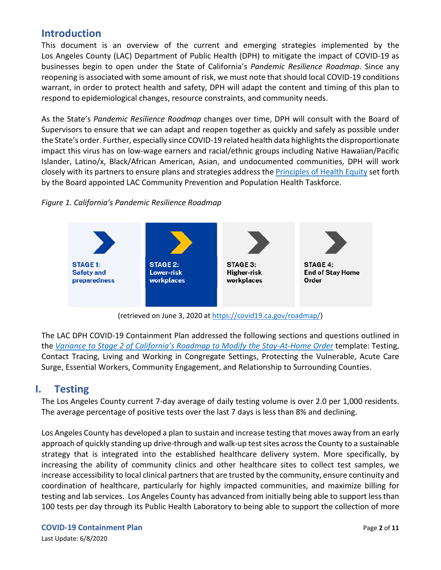## <span id="page-2-0"></span>**Introduction**

This document is an overview of the current and emerging strategies implemented by the Los Angeles County (LAC) Department of Public Health (DPH) to mitigate the impact of COVID-19 as businesses begin to open under the State of California's *Pandemic Resilience Roadmap*. Since any reopening is associated with some amount of risk, we must note that should local COVID-19 conditions warrant, in order to protect health and safety, DPH will adapt the content and timing of this plan to respond to epidemiological changes, resource constraints, and community needs.

As the State's *Pandemic Resilience Roadmap* changes over time, DPH will consult with the Board of Supervisors to ensure that we can adapt and reopen together as quickly and safely as possible under the State's order. Further, especially since COVID-19 related health data highlights the disproportionate impact this virus has on low-wage earners and racial/ethnic groups including Native Hawaiian/Pacific Islander, Latino/x, Black/African American, Asian, and undocumented communities, DPH will work closely with its partners to ensure plans and strategies address th[e Principles of Health Equity](http://publichealth.lacounty.gov/CenterForHealthEquity/PDF/Principles%20of%20Equity%20FINAL.pdf) set forth by the Board appointed LAC Community Prevention and Population Health Taskforce.

#### *Figure 1. California's Pandemic Resilience Roadmap*



(retrieved on June 3, 2020 at [https://covid19.ca.gov/roadmap/\)](https://covid19.ca.gov/roadmap/)

The LAC DPH COVID-19 Containment Plan addressed the following sections and questions outlined in the *[Variance to Stage 2 of California's Roadmap to Modify the Stay-At-Home Order](https://www.cdph.ca.gov/Programs/CID/DCDC/CDPH%20Document%20Library/COVID-19/LA-County-Attestation.pdf)* template: Testing, Contact Tracing, Living and Working in Congregate Settings, Protecting the Vulnerable, Acute Care Surge, Essential Workers, Community Engagement, and Relationship to Surrounding Counties.

#### <span id="page-2-1"></span>**I. Testing**

The Los Angeles County current 7-day average of daily testing volume is over 2.0 per 1,000 residents. The average percentage of positive tests over the last 7 days is less than 8% and declining.

Los Angeles County has developed a plan to sustain and increase testing that moves away from an early approach of quickly standing up drive-through and walk-up test sites across the County to a sustainable strategy that is integrated into the established healthcare delivery system. More specifically, by increasing the ability of community clinics and other healthcare sites to collect test samples, we increase accessibility to local clinical partners that are trusted by the community, ensure continuity and coordination of healthcare, particularly for highly impacted communities, and maximize billing for testing and lab services. Los Angeles County has advanced from initially being able to support less than 100 tests per day through its Public Health Laboratory to being able to support the collection of more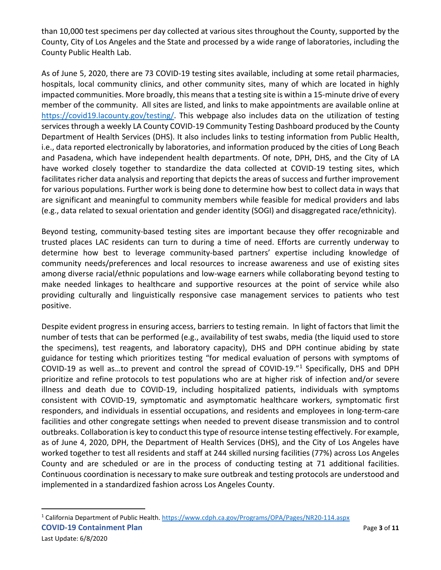than 10,000 test specimens per day collected at various sites throughout the County, supported by the County, City of Los Angeles and the State and processed by a wide range of laboratories, including the County Public Health Lab.

As of June 5, 2020, there are 73 COVID-19 testing sites available, including at some retail pharmacies, hospitals, local community clinics, and other community sites, many of which are located in highly impacted communities. More broadly, this means that a testing site is within a 15-minute drive of every member of the community. All sites are listed, and links to make appointments are available online at [https://covid19.lacounty.gov/testing/.](https://covid19.lacounty.gov/testing/) This webpage also includes data on the utilization of testing services through a weekly LA County COVID-19 Community Testing Dashboard produced by the County Department of Health Services (DHS). It also includes links to testing information from Public Health, i.e., data reported electronically by laboratories, and information produced by the cities of Long Beach and Pasadena, which have independent health departments. Of note, DPH, DHS, and the City of LA have worked closely together to standardize the data collected at COVID-19 testing sites, which facilitates richer data analysis and reporting that depicts the areas of success and further improvement for various populations. Further work is being done to determine how best to collect data in ways that are significant and meaningful to community members while feasible for medical providers and labs (e.g., data related to sexual orientation and gender identity (SOGI) and disaggregated race/ethnicity).

Beyond testing, community-based testing sites are important because they offer recognizable and trusted places LAC residents can turn to during a time of need. Efforts are currently underway to determine how best to leverage community-based partners' expertise including knowledge of community needs/preferences and local resources to increase awareness and use of existing sites among diverse racial/ethnic populations and low-wage earners while collaborating beyond testing to make needed linkages to healthcare and supportive resources at the point of service while also providing culturally and linguistically responsive case management services to patients who test positive.

Despite evident progress in ensuring access, barriers to testing remain. In light of factors that limit the number of tests that can be performed (e.g., availability of test swabs, media (the liquid used to store the specimens), test reagents, and laboratory capacity), DHS and DPH continue abiding by state guidance for testing which prioritizes testing "for medical evaluation of persons with symptoms of COVID-19 as well as…to prevent and control the spread of COVID-19."[1](#page-3-0) Specifically, DHS and DPH prioritize and refine protocols to test populations who are at higher risk of infection and/or severe illness and death due to COVID-19, including hospitalized patients, individuals with symptoms consistent with COVID-19, symptomatic and asymptomatic healthcare workers, symptomatic first responders, and individuals in essential occupations, and residents and employees in long-term-care facilities and other congregate settings when needed to prevent disease transmission and to control outbreaks. Collaboration is key to conduct this type of resource intense testing effectively. For example, as of June 4, 2020, DPH, the Department of Health Services (DHS), and the City of Los Angeles have worked together to test all residents and staff at 244 skilled nursing facilities (77%) across Los Angeles County and are scheduled or are in the process of conducting testing at 71 additional facilities. Continuous coordination is necessary to make sure outbreak and testing protocols are understood and implemented in a standardized fashion across Los Angeles County.

<span id="page-3-0"></span>**COVID-19 Containment Plan Page 1 of 11 Page 1 of 11** <sup>1</sup> California Department of Public Health.<https://www.cdph.ca.gov/Programs/OPA/Pages/NR20-114.aspx>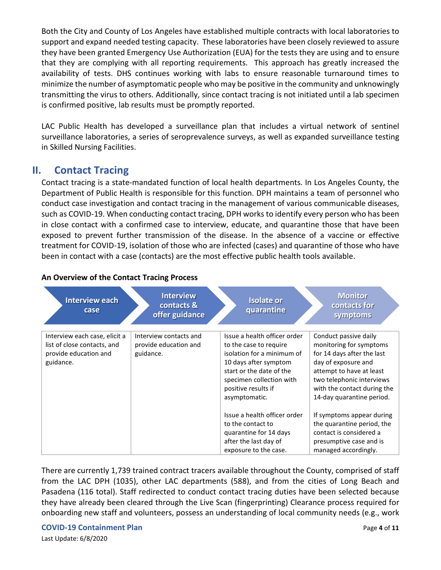Both the City and County of Los Angeles have established multiple contracts with local laboratories to support and expand needed testing capacity. These laboratories have been closely reviewed to assure they have been granted Emergency Use Authorization (EUA) for the tests they are using and to ensure that they are complying with all reporting requirements. This approach has greatly increased the availability of tests. DHS continues working with labs to ensure reasonable turnaround times to minimize the number of asymptomatic people who may be positive in the community and unknowingly transmitting the virus to others. Additionally, since contact tracing is not initiated until a lab specimen is confirmed positive, lab results must be promptly reported.

LAC Public Health has developed a surveillance plan that includes a virtual network of sentinel surveillance laboratories, a series of seroprevalence surveys, as well as expanded surveillance testing in Skilled Nursing Facilities.

#### <span id="page-4-0"></span>**II. Contact Tracing**

Contact tracing is a state-mandated function of local health departments. In Los Angeles County, the Department of Public Health is responsible for this function. DPH maintains a team of personnel who conduct case investigation and contact tracing in the management of various communicable diseases, such as COVID-19. When conducting contact tracing, DPH works to identify every person who has been in close contact with a confirmed case to interview, educate, and quarantine those that have been exposed to prevent further transmission of the disease. In the absence of a vaccine or effective treatment for COVID-19, isolation of those who are infected (cases) and quarantine of those who have been in contact with a case (contacts) are the most effective public health tools available.

| <b>Interview each</b><br>case                                                                      | <b>Interview</b><br>contacts &<br>offer guidance             | <b>Isolate or</b><br>quarantine                                                                                                                                                                               | <b>Monitor</b><br>contacts for<br>symptoms                                                                                                                                                                                 |
|----------------------------------------------------------------------------------------------------|--------------------------------------------------------------|---------------------------------------------------------------------------------------------------------------------------------------------------------------------------------------------------------------|----------------------------------------------------------------------------------------------------------------------------------------------------------------------------------------------------------------------------|
| Interview each case, elicit a<br>list of close contacts, and<br>provide education and<br>guidance. | Interview contacts and<br>provide education and<br>guidance. | Issue a health officer order<br>to the case to require<br>isolation for a minimum of<br>10 days after symptom<br>start or the date of the<br>specimen collection with<br>positive results if<br>asymptomatic. | Conduct passive daily<br>monitoring for symptoms<br>for 14 days after the last<br>day of exposure and<br>attempt to have at least<br>two telephonic interviews<br>with the contact during the<br>14-day quarantine period. |
|                                                                                                    |                                                              | Issue a health officer order<br>to the contact to<br>quarantine for 14 days<br>after the last day of<br>exposure to the case.                                                                                 | If symptoms appear during<br>the quarantine period, the<br>contact is considered a<br>presumptive case and is<br>managed accordingly.                                                                                      |

#### **An Overview of the Contact Tracing Process**

There are currently 1,739 trained contract tracers available throughout the County, comprised of staff from the LAC DPH (1035), other LAC departments (588), and from the cities of Long Beach and Pasadena (116 total). Staff redirected to conduct contact tracing duties have been selected because they have already been cleared through the Live Scan (fingerprinting) Clearance process required for onboarding new staff and volunteers, possess an understanding of local community needs (e.g., work

#### **COVID-19 Containment Plan Page 4** of **11**

Last Update: 6/8/2020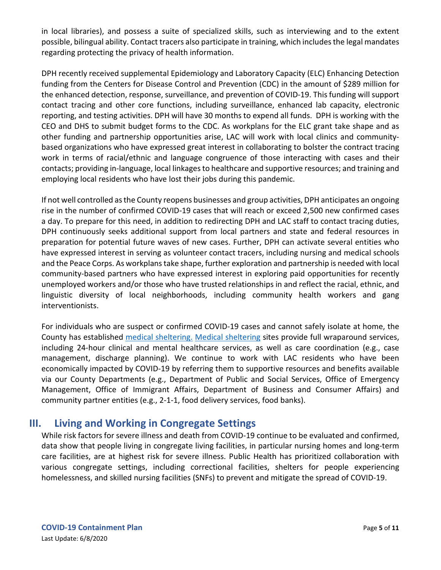in local libraries), and possess a suite of specialized skills, such as interviewing and to the extent possible, bilingual ability. Contact tracers also participate in training, which includes the legal mandates regarding protecting the privacy of health information.

DPH recently received supplemental Epidemiology and Laboratory Capacity (ELC) Enhancing Detection funding from the Centers for Disease Control and Prevention (CDC) in the amount of \$289 million for the enhanced detection, response, surveillance, and prevention of COVID-19. This funding will support contact tracing and other core functions, including surveillance, enhanced lab capacity, electronic reporting, and testing activities. DPH will have 30 months to expend all funds. DPH is working with the CEO and DHS to submit budget forms to the CDC. As workplans for the ELC grant take shape and as other funding and partnership opportunities arise, LAC will work with local clinics and communitybased organizations who have expressed great interest in collaborating to bolster the contract tracing work in terms of racial/ethnic and language congruence of those interacting with cases and their contacts; providing in-language, local linkages to healthcare and supportive resources; and training and employing local residents who have lost their jobs during this pandemic.

If not well controlled as the County reopens businesses and group activities, DPH anticipates an ongoing rise in the number of confirmed COVID-19 cases that will reach or exceed 2,500 new confirmed cases a day. To prepare for this need, in addition to redirecting DPH and LAC staff to contact tracing duties, DPH continuously seeks additional support from local partners and state and federal resources in preparation for potential future waves of new cases. Further, DPH can activate several entities who have expressed interest in serving as volunteer contact tracers, including nursing and medical schools and the Peace Corps. As workplans take shape, further exploration and partnership is needed with local community-based partners who have expressed interest in exploring paid opportunities for recently unemployed workers and/or those who have trusted relationships in and reflect the racial, ethnic, and linguistic diversity of local neighborhoods, including community health workers and gang interventionists.

For individuals who are suspect or confirmed COVID-19 cases and cannot safely isolate at home, the County has established [medical sheltering.](https://covid19.lacounty.gov/medical-sheltering/) [Medical sheltering](https://covid19.lacounty.gov/medical-sheltering/) sites provide full wraparound services, including 24-hour clinical and mental healthcare services, as well as care coordination (e.g., case management, discharge planning). We continue to work with LAC residents who have been economically impacted by COVID-19 by referring them to supportive resources and benefits available via our County Departments (e.g., Department of Public and Social Services, Office of Emergency Management, Office of Immigrant Affairs, Department of Business and Consumer Affairs) and community partner entities (e.g., 2-1-1, food delivery services, food banks).

## <span id="page-5-0"></span>**III. Living and Working in Congregate Settings**

While risk factors for severe illness and death from COVID-19 continue to be evaluated and confirmed, data show that people living in congregate living facilities, in particular nursing homes and long-term care facilities, are at highest risk for severe illness. Public Health has prioritized collaboration with various congregate settings, including correctional facilities, shelters for people experiencing homelessness, and skilled nursing facilities (SNFs) to prevent and mitigate the spread of COVID-19.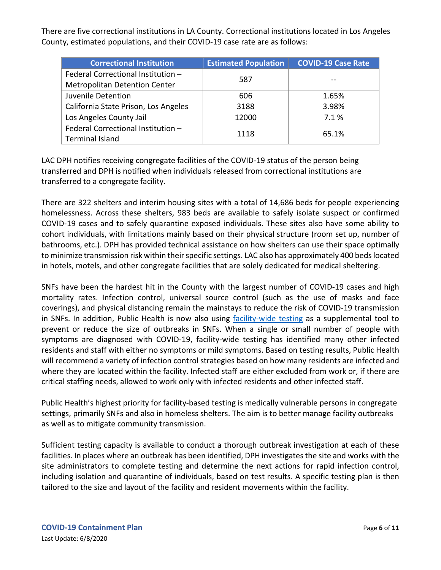There are five correctional institutions in LA County. Correctional institutions located in Los Angeles County, estimated populations, and their COVID-19 case rate are as follows:

| <b>Correctional Institution</b>      | <b>Estimated Population</b> | <b>COVID-19 Case Rate</b> |  |
|--------------------------------------|-----------------------------|---------------------------|--|
| Federal Correctional Institution -   | 587                         |                           |  |
| <b>Metropolitan Detention Center</b> |                             |                           |  |
| Juvenile Detention                   | 606                         | 1.65%                     |  |
| California State Prison, Los Angeles | 3188                        | 3.98%                     |  |
| Los Angeles County Jail              | 12000                       | 7.1%                      |  |
| Federal Correctional Institution -   | 1118                        | 65.1%                     |  |
| <b>Terminal Island</b>               |                             |                           |  |

LAC DPH notifies receiving congregate facilities of the COVID-19 status of the person being transferred and DPH is notified when individuals released from correctional institutions are transferred to a congregate facility.

There are 322 shelters and interim housing sites with a total of 14,686 beds for people experiencing homelessness. Across these shelters, 983 beds are available to safely isolate suspect or confirmed COVID-19 cases and to safely quarantine exposed individuals. These sites also have some ability to cohort individuals, with limitations mainly based on their physical structure (room set up, number of bathrooms, etc.). DPH has provided technical assistance on how shelters can use their space optimally to minimize transmission risk within their specific settings. LAC also has approximately 400 beds located in hotels, motels, and other congregate facilities that are solely dedicated for medical sheltering.

SNFs have been the hardest hit in the County with the largest number of COVID-19 cases and high mortality rates. Infection control, universal source control (such as the use of masks and face coverings), and physical distancing remain the mainstays to reduce the risk of COVID-19 transmission in SNFs. In addition, Public Health is now also using [facility-wide testing](http://publichealth.lacounty.gov/acd/docs/nCOVMassTestingStrategies.pdf) as a supplemental tool to prevent or reduce the size of outbreaks in SNFs. When a single or small number of people with symptoms are diagnosed with COVID-19, facility-wide testing has identified many other infected residents and staff with either no symptoms or mild symptoms. Based on testing results, Public Health will recommend a variety of infection control strategies based on how many residents are infected and where they are located within the facility. Infected staff are either excluded from work or, if there are critical staffing needs, allowed to work only with infected residents and other infected staff.

Public Health's highest priority for facility-based testing is medically vulnerable persons in congregate settings, primarily SNFs and also in homeless shelters. The aim is to better manage facility outbreaks as well as to mitigate community transmission.

Sufficient testing capacity is available to conduct a thorough outbreak investigation at each of these facilities. In places where an outbreak has been identified, DPH investigates the site and works with the site administrators to complete testing and determine the next actions for rapid infection control, including isolation and quarantine of individuals, based on test results. A specific testing plan is then tailored to the size and layout of the facility and resident movements within the facility.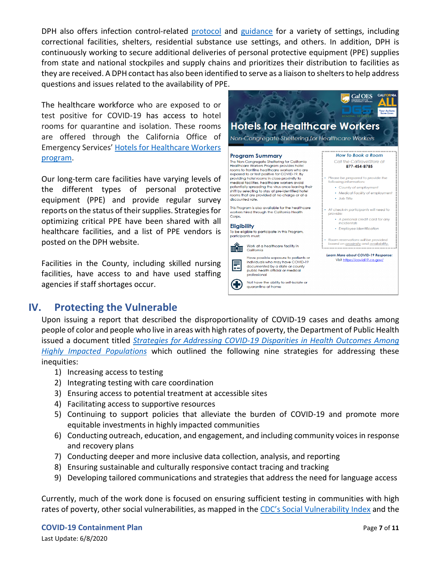DPH also offers infection control-related [protocol](http://www.ph.lacounty.gov/acd/procs/b73/B73Index.htm) and [guidance](http://www.publichealth.lacounty.gov/media/Coronavirus/guidances.htm#congregate-living) for a variety of settings, including correctional facilities, shelters, residential substance use settings, and others. In addition, DPH is continuously working to secure additional deliveries of personal protective equipment (PPE) supplies from state and national stockpiles and supply chains and prioritizes their distribution to facilities as they are received. A DPH contact has also been identified to serve as a liaison to shelters to help address questions and issues related to the availability of PPE.

The healthcare workforce who are exposed to or test positive for COVID-19 has access to hotel rooms for quarantine and isolation. These rooms are offered through the California Office of Emergency Services' [Hotels for Healthcare Workers](https://www.travelstore.com/sites/default/files/cal_oes_hotels_for_hc_workers_04092020.pdf)  [program.](https://www.travelstore.com/sites/default/files/cal_oes_hotels_for_hc_workers_04092020.pdf)

Our long-term care facilities have varying levels of the different types of personal protective equipment (PPE) and provide regular survey reports on the status of their supplies. Strategies for optimizing critical PPE have been shared with all healthcare facilities, and a list of PPE vendors is posted on the DPH website.

<span id="page-7-0"></span>Facilities in the County, including skilled nursing facilities, have access to and have used staffing agencies if staff shortages occur.



#### **IV. Protecting the Vulnerable**

Upon issuing a report that described the disproportionality of COVID-19 cases and deaths among people of color and people who live in areas with high rates of poverty, the Department of Public Health issued a document titled *[Strategies for Addressing COVID-19 Disparities in Health Outcomes Among](http://publichealth.lacounty.gov/docs/RacialEthnicSocioeconomicDataCOVID19.pdf)  [Highly Impacted Populations](http://publichealth.lacounty.gov/docs/RacialEthnicSocioeconomicDataCOVID19.pdf)* which outlined the following nine strategies for addressing these inequities:

- 1) Increasing access to testing
- 2) Integrating testing with care coordination
- 3) Ensuring access to potential treatment at accessible sites
- 4) Facilitating access to supportive resources
- 5) Continuing to support policies that alleviate the burden of COVID-19 and promote more equitable investments in highly impacted communities
- 6) Conducting outreach, education, and engagement, and including community voices in response and recovery plans
- 7) Conducting deeper and more inclusive data collection, analysis, and reporting
- 8) Ensuring sustainable and culturally responsive contact tracing and tracking
- 9) Developing tailored communications and strategies that address the need for language access

Currently, much of the work done is focused on ensuring sufficient testing in communities with high rates of poverty, other social vulnerabilities, as mapped in the [CDC's Social Vulnerability Index](https://svi.cdc.gov/Documents/CountyMaps/2016/California/California2016_Los%20Angeles.pdf) and the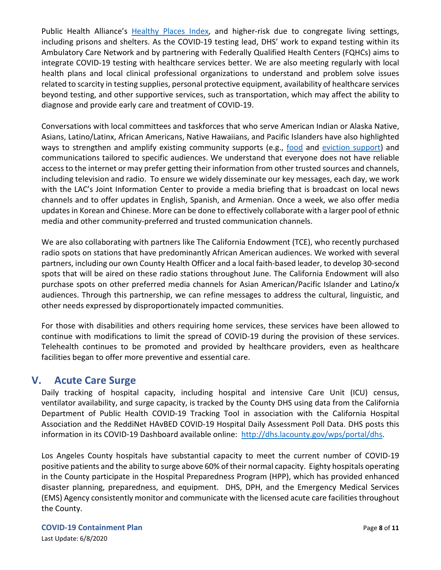Public Health Alliance's [Healthy Places Index,](https://healthyplacesindex.org/about/) and higher-risk due to congregate living settings, including prisons and shelters. As the COVID-19 testing lead, DHS' work to expand testing within its Ambulatory Care Network and by partnering with Federally Qualified Health Centers (FQHCs) aims to integrate COVID-19 testing with healthcare services better. We are also meeting regularly with local health plans and local clinical professional organizations to understand and problem solve issues related to scarcity in testing supplies, personal protective equipment, availability of healthcare services beyond testing, and other supportive services, such as transportation, which may affect the ability to diagnose and provide early care and treatment of COVID-19.

Conversations with local committees and taskforces that who serve American Indian or Alaska Native, Asians, Latino/Latinx, African Americans, Native Hawaiians, and Pacific Islanders have also highlighted ways to strengthen and amplify existing community supports (e.g., [food](https://covid19.lacounty.gov/food/) and [eviction support\)](https://dcba.lacounty.gov/noevictions/) and communications tailored to specific audiences. We understand that everyone does not have reliable access to the internet or may prefer getting their information from other trusted sources and channels, including television and radio. To ensure we widely disseminate our key messages, each day, we work with the LAC's Joint Information Center to provide a media briefing that is broadcast on local news channels and to offer updates in English, Spanish, and Armenian. Once a week, we also offer media updates in Korean and Chinese. More can be done to effectively collaborate with a larger pool of ethnic media and other community-preferred and trusted communication channels.

We are also collaborating with partners like The California Endowment (TCE), who recently purchased radio spots on stations that have predominantly African American audiences. We worked with several partners, including our own County Health Officer and a local faith-based leader, to develop 30-second spots that will be aired on these radio stations throughout June. The California Endowment will also purchase spots on other preferred media channels for Asian American/Pacific Islander and Latino/x audiences. Through this partnership, we can refine messages to address the cultural, linguistic, and other needs expressed by disproportionately impacted communities.

For those with disabilities and others requiring home services, these services have been allowed to continue with modifications to limit the spread of COVID-19 during the provision of these services. Telehealth continues to be promoted and provided by healthcare providers, even as healthcare facilities began to offer more preventive and essential care.

#### <span id="page-8-0"></span>**V. Acute Care Surge**

Daily tracking of hospital capacity, including hospital and intensive Care Unit (ICU) census, ventilator availability, and surge capacity, is tracked by the County DHS using data from the California Department of Public Health COVID-19 Tracking Tool in association with the California Hospital Association and the ReddiNet HAvBED COVID-19 Hospital Daily Assessment Poll Data. DHS posts this information in its COVID-19 Dashboard available online: [http://dhs.lacounty.gov/wps/portal/dhs.](http://dhs.lacounty.gov/wps/portal/dhs)

Los Angeles County hospitals have substantial capacity to meet the current number of COVID-19 positive patients and the ability to surge above 60% of their normal capacity. Eighty hospitals operating in the County participate in the Hospital Preparedness Program (HPP), which has provided enhanced disaster planning, preparedness, and equipment. DHS, DPH, and the Emergency Medical Services (EMS) Agency consistently monitor and communicate with the licensed acute care facilities throughout the County.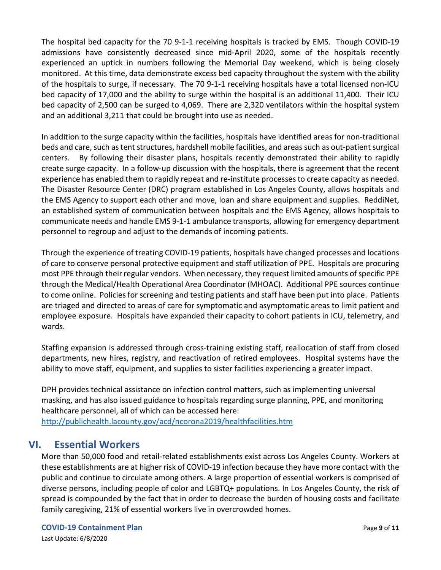The hospital bed capacity for the 70 9-1-1 receiving hospitals is tracked by EMS. Though COVID-19 admissions have consistently decreased since mid-April 2020, some of the hospitals recently experienced an uptick in numbers following the Memorial Day weekend, which is being closely monitored. At this time, data demonstrate excess bed capacity throughout the system with the ability of the hospitals to surge, if necessary. The 70 9-1-1 receiving hospitals have a total licensed non-ICU bed capacity of 17,000 and the ability to surge within the hospital is an additional 11,400. Their ICU bed capacity of 2,500 can be surged to 4,069. There are 2,320 ventilators within the hospital system and an additional 3,211 that could be brought into use as needed.

In addition to the surge capacity within the facilities, hospitals have identified areas for non-traditional beds and care, such as tent structures, hardshell mobile facilities, and areas such as out-patient surgical centers. By following their disaster plans, hospitals recently demonstrated their ability to rapidly create surge capacity. In a follow-up discussion with the hospitals, there is agreement that the recent experience has enabled them to rapidly repeat and re-institute processesto create capacity as needed. The Disaster Resource Center (DRC) program established in Los Angeles County, allows hospitals and the EMS Agency to support each other and move, loan and share equipment and supplies. ReddiNet, an established system of communication between hospitals and the EMS Agency, allows hospitals to communicate needs and handle EMS 9-1-1 ambulance transports, allowing for emergency department personnel to regroup and adjust to the demands of incoming patients.

Through the experience of treating COVID-19 patients, hospitals have changed processes and locations of care to conserve personal protective equipment and staff utilization of PPE. Hospitals are procuring most PPE through their regular vendors. When necessary, they request limited amounts of specific PPE through the Medical/Health Operational Area Coordinator (MHOAC). Additional PPE sources continue to come online. Policies for screening and testing patients and staff have been put into place. Patients are triaged and directed to areas of care for symptomatic and asymptomatic areas to limit patient and employee exposure. Hospitals have expanded their capacity to cohort patients in ICU, telemetry, and wards.

Staffing expansion is addressed through cross-training existing staff, reallocation of staff from closed departments, new hires, registry, and reactivation of retired employees. Hospital systems have the ability to move staff, equipment, and supplies to sister facilities experiencing a greater impact.

DPH provides technical assistance on infection control matters, such as implementing universal masking, and has also issued guidance to hospitals regarding surge planning, PPE, and monitoring healthcare personnel, all of which can be accessed here:

<http://publichealth.lacounty.gov/acd/ncorona2019/healthfacilities.htm>

## <span id="page-9-0"></span>**VI. Essential Workers**

More than 50,000 food and retail-related establishments exist across Los Angeles County. Workers at these establishments are at higher risk of COVID-19 infection because they have more contact with the public and continue to circulate among others. A large proportion of essential workers is comprised of diverse persons, including people of color and LGBTQ+ populations. In Los Angeles County, the risk of spread is compounded by the fact that in order to decrease the burden of housing costs and facilitate family caregiving, 21% of essential workers live in overcrowded homes.

#### **COVID-19 Containment Plan Page 9** of **11**

Last Update: 6/8/2020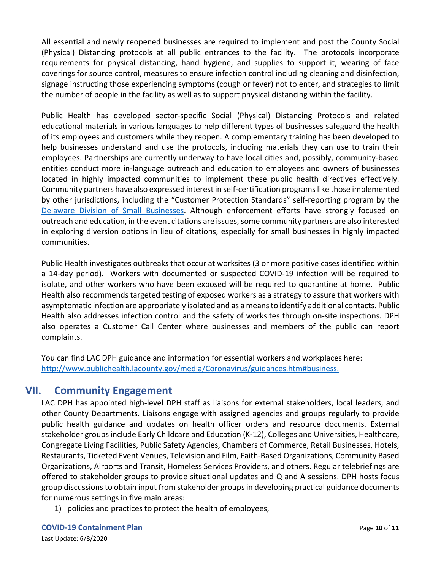All essential and newly reopened businesses are required to implement and post the County Social (Physical) Distancing protocols at all public entrances to the facility. The protocols incorporate requirements for physical distancing, hand hygiene, and supplies to support it, wearing of face coverings for source control, measures to ensure infection control including cleaning and disinfection, signage instructing those experiencing symptoms (cough or fever) not to enter, and strategies to limit the number of people in the facility as well as to support physical distancing within the facility.

Public Health has developed sector-specific Social (Physical) Distancing Protocols and related educational materials in various languages to help different types of businesses safeguard the health of its employees and customers while they reopen. A complementary training has been developed to help businesses understand and use the protocols, including materials they can use to train their employees. Partnerships are currently underway to have local cities and, possibly, community-based entities conduct more in-language outreach and education to employees and owners of businesses located in highly impacted communities to implement these public health directives effectively. Community partners have also expressed interest in self-certification programs like those implemented by other jurisdictions, including the "Customer Protection Standards" self-reporting program by the [Delaware Division of Small Businesses.](https://business.delaware.gov/coronavirus/covid-19-customer-protection-standards/) Although enforcement efforts have strongly focused on outreach and education, in the event citations are issues, some community partners are also interested in exploring diversion options in lieu of citations, especially for small businesses in highly impacted communities.

Public Health investigates outbreaks that occur at worksites (3 or more positive cases identified within a 14-day period). Workers with documented or suspected COVID-19 infection will be required to isolate, and other workers who have been exposed will be required to quarantine at home. Public Health also recommends targeted testing of exposed workers as a strategy to assure that workers with asymptomatic infection are appropriately isolated and as a means to identify additional contacts. Public Health also addresses infection control and the safety of worksites through on-site inspections. DPH also operates a Customer Call Center where businesses and members of the public can report complaints.

You can find LAC DPH guidance and information for essential workers and workplaces here: [http://www.publichealth.lacounty.gov/media/Coronavirus/guidances.htm#business.](http://www.publichealth.lacounty.gov/media/Coronavirus/guidances.htm#business)

## <span id="page-10-0"></span>**VII. Community Engagement**

LAC DPH has appointed high-level DPH staff as liaisons for external stakeholders, local leaders, and other County Departments. Liaisons engage with assigned agencies and groups regularly to provide public health guidance and updates on health officer orders and resource documents. External stakeholder groups include Early Childcare and Education (K-12), Colleges and Universities, Healthcare, Congregate Living Facilities, Public Safety Agencies, Chambers of Commerce, Retail Businesses, Hotels, Restaurants, Ticketed Event Venues, Television and Film, Faith-Based Organizations, Community Based Organizations, Airports and Transit, Homeless Services Providers, and others. Regular telebriefings are offered to stakeholder groups to provide situational updates and Q and A sessions. DPH hosts focus group discussions to obtain input from stakeholder groups in developing practical guidance documents for numerous settings in five main areas:

1) policies and practices to protect the health of employees,

**COVID-19 Containment Plan Page 10** of **11** 

Last Update: 6/8/2020